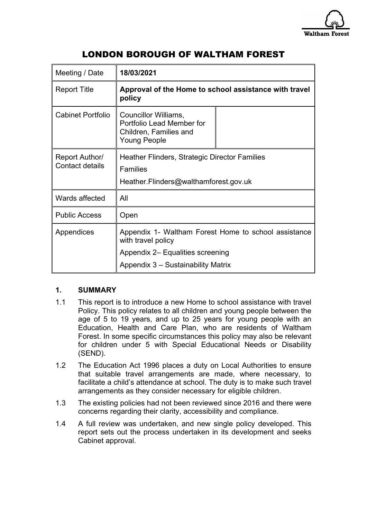

# LONDON BOROUGH OF WALTHAM FOREST

| 18/03/2021                                                                                                     |                                    |
|----------------------------------------------------------------------------------------------------------------|------------------------------------|
| Approval of the Home to school assistance with travel<br>policy                                                |                                    |
| Councillor Williams,<br>Portfolio Lead Member for<br>Children, Families and<br><b>Young People</b>             |                                    |
| Heather Flinders, Strategic Director Families<br><b>Families</b><br>Heather.Flinders@walthamforest.gov.uk      |                                    |
| All                                                                                                            |                                    |
| Open                                                                                                           |                                    |
| Appendix 1- Waltham Forest Home to school assistance<br>with travel policy<br>Appendix 2– Equalities screening |                                    |
|                                                                                                                | Appendix 3 - Sustainability Matrix |

# **1. SUMMARY**

- 1.1 This report is to introduce a new Home to school assistance with travel Policy. This policy relates to all children and young people between the age of 5 to 19 years, and up to 25 years for young people with an Education, Health and Care Plan, who are residents of Waltham Forest. In some specific circumstances this policy may also be relevant for children under 5 with Special Educational Needs or Disability (SEND).
- 1.2 The Education Act 1996 places a duty on Local Authorities to ensure that suitable travel arrangements are made, where necessary, to facilitate a child's attendance at school. The duty is to make such travel arrangements as they consider necessary for eligible children.
- 1.3 The existing policies had not been reviewed since 2016 and there were concerns regarding their clarity, accessibility and compliance.
- 1.4 A full review was undertaken, and new single policy developed. This report sets out the process undertaken in its development and seeks Cabinet approval.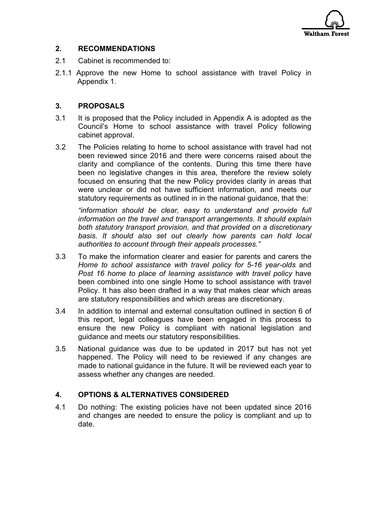

# **2. RECOMMENDATIONS**

- 2.1 Cabinet is recommended to:
- 2.1.1 Approve the new Home to school assistance with travel Policy in Appendix 1.

## **3. PROPOSALS**

- 3.1 It is proposed that the Policy included in Appendix A is adopted as the Council's Home to school assistance with travel Policy following cabinet approval.
- 3.2 The Policies relating to home to school assistance with travel had not been reviewed since 2016 and there were concerns raised about the clarity and compliance of the contents. During this time there have been no legislative changes in this area, therefore the review solely focused on ensuring that the new Policy provides clarity in areas that were unclear or did not have sufficient information, and meets our statutory requirements as outlined in in the national guidance, that the:

*"information should be clear, easy to understand and provide full information on the travel and transport arrangements. It should explain both statutory transport provision, and that provided on a discretionary basis. It should also set out clearly how parents can hold local authorities to account through their appeals processes."*

- 3.3 To make the information clearer and easier for parents and carers the *Home to school assistance with travel policy for 5-16 year-olds* and *Post 16 home to place of learning assistance with travel policy* have been combined into one single Home to school assistance with travel Policy. It has also been drafted in a way that makes clear which areas are statutory responsibilities and which areas are discretionary.
- 3.4 In addition to internal and external consultation outlined in section 6 of this report, legal colleagues have been engaged in this process to ensure the new Policy is compliant with national legislation and guidance and meets our statutory responsibilities.
- 3.5 National guidance was due to be updated in 2017 but has not yet happened. The Policy will need to be reviewed if any changes are made to national guidance in the future. It will be reviewed each year to assess whether any changes are needed.

# **4. OPTIONS & ALTERNATIVES CONSIDERED**

4.1 Do nothing: The existing policies have not been updated since 2016 and changes are needed to ensure the policy is compliant and up to date.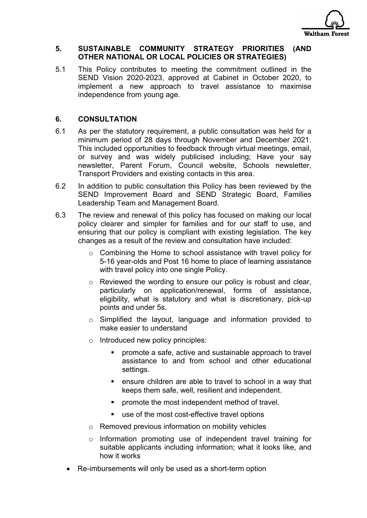

#### **5. SUSTAINABLE COMMUNITY STRATEGY PRIORITIES (AND OTHER NATIONAL OR LOCAL POLICIES OR STRATEGIES)**

5.1 This Policy contributes to meeting the commitment outlined in the SEND Vision 2020-2023, approved at Cabinet in October 2020, to implement a new approach to travel assistance to maximise independence from young age.

### **6. CONSULTATION**

- 6.1 As per the statutory requirement, a public consultation was held for a minimum period of 28 days through November and December 2021. This included opportunities to feedback through virtual meetings, email, or survey and was widely publicised including; Have your say newsletter, Parent Forum, Council website, Schools newsletter, Transport Providers and existing contacts in this area.
- 6.2 In addition to public consultation this Policy has been reviewed by the SEND Improvement Board and SEND Strategic Board, Families Leadership Team and Management Board.
- 6.3 The review and renewal of this policy has focused on making our local policy clearer and simpler for families and for our staff to use, and ensuring that our policy is compliant with existing legislation. The key changes as a result of the review and consultation have included:
	- o Combining the Home to school assistance with travel policy for 5-16 year-olds and Post 16 home to place of learning assistance with travel policy into one single Policy.
	- o Reviewed the wording to ensure our policy is robust and clear, particularly on application/renewal, forms of assistance, eligibility, what is statutory and what is discretionary, pick-up points and under 5s.
	- o Simplified the layout, language and information provided to make easier to understand
	- o Introduced new policy principles:
		- promote a safe, active and sustainable approach to travel assistance to and from school and other educational settings.
		- ensure children are able to travel to school in a way that keeps them safe, well, resilient and independent.
		- promote the most independent method of travel.
		- use of the most cost-effective travel options
	- o Removed previous information on mobility vehicles
	- o Information promoting use of independent travel training for suitable applicants including information; what it looks like, and how it works
	- Re-imbursements will only be used as a short-term option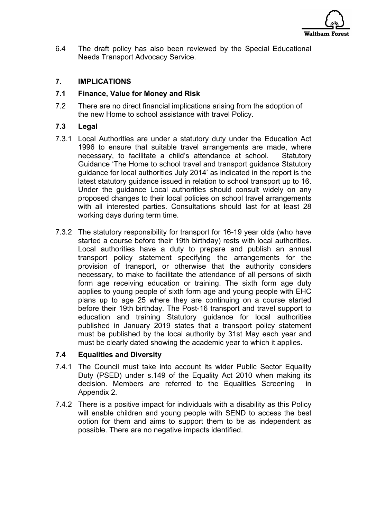

6.4 The draft policy has also been reviewed by the Special Educational Needs Transport Advocacy Service.

## **7. IMPLICATIONS**

#### **7.1 Finance, Value for Money and Risk**

7.2 There are no direct financial implications arising from the adoption of the new Home to school assistance with travel Policy.

## **7.3 Legal**

- 7.3.1 Local Authorities are under a statutory duty under the Education Act 1996 to ensure that suitable travel arrangements are made, where necessary, to facilitate a child's attendance at school. Statutory Guidance 'The Home to school travel and transport guidance Statutory guidance for local authorities July 2014' as indicated in the report is the latest statutory guidance issued in relation to school transport up to 16. Under the guidance Local authorities should consult widely on any proposed changes to their local policies on school travel arrangements with all interested parties. Consultations should last for at least 28 working days during term time.
- 7.3.2 The statutory responsibility for transport for 16-19 year olds (who have started a course before their 19th birthday) rests with local authorities. Local authorities have a duty to prepare and publish an annual transport policy statement specifying the arrangements for the provision of transport, or otherwise that the authority considers necessary, to make to facilitate the attendance of all persons of sixth form age receiving education or training. The sixth form age duty applies to young people of sixth form age and young people with EHC plans up to age 25 where they are continuing on a course started before their 19th birthday. The Post-16 transport and travel support to education and training Statutory guidance for local authorities published in January 2019 states that a transport policy statement must be published by the local authority by 31st May each year and must be clearly dated showing the academic year to which it applies.

#### **7.4 Equalities and Diversity**

- 7.4.1 The Council must take into account its wider Public Sector Equality Duty (PSED) under s.149 of the Equality Act 2010 when making its decision. Members are referred to the Equalities Screening in Appendix 2.
- 7.4.2 There is a positive impact for individuals with a disability as this Policy will enable children and young people with SEND to access the best option for them and aims to support them to be as independent as possible. There are no negative impacts identified.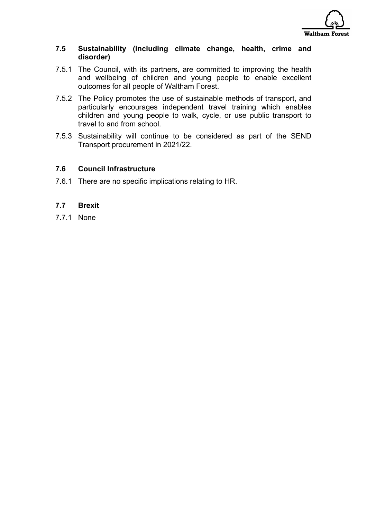

#### **7.5 Sustainability (including climate change, health, crime and disorder)**

- 7.5.1 The Council, with its partners, are committed to improving the health and wellbeing of children and young people to enable excellent outcomes for all people of Waltham Forest.
- 7.5.2 The Policy promotes the use of sustainable methods of transport, and particularly encourages independent travel training which enables children and young people to walk, cycle, or use public transport to travel to and from school.
- 7.5.3 Sustainability will continue to be considered as part of the SEND Transport procurement in 2021/22.

## **7.6 Council Infrastructure**

7.6.1 There are no specific implications relating to HR.

#### **7.7 Brexit**

7.7.1 None